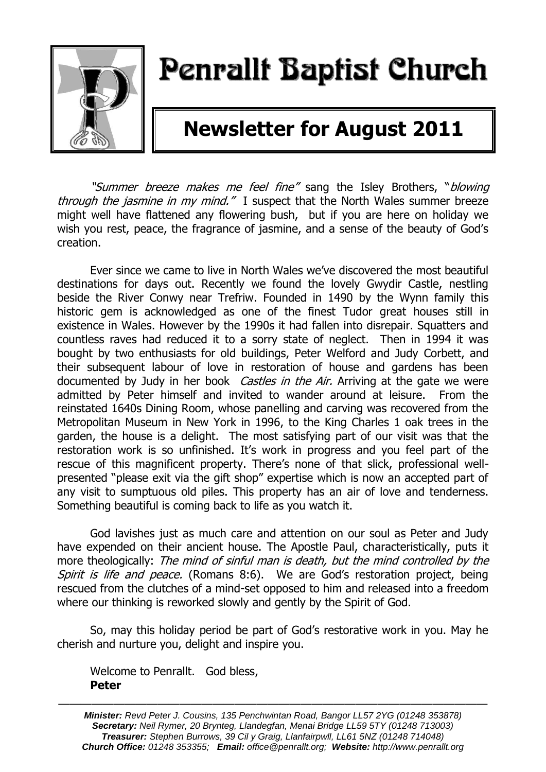

# Penrallt Baptist Church

## **Newsletter for August 2011**

"Summer breeze makes me feel fine" sang the Isley Brothers, "blowina through the jasmine in my mind." I suspect that the North Wales summer breeze might well have flattened any flowering bush, but if you are here on holiday we wish you rest, peace, the fragrance of jasmine, and a sense of the beauty of God's creation.

Ever since we came to live in North Wales we've discovered the most beautiful destinations for days out. Recently we found the lovely Gwydir Castle, nestling beside the River Conwy near Trefriw. Founded in 1490 by the Wynn family this historic gem is acknowledged as one of the finest Tudor great houses still in existence in Wales. However by the 1990s it had fallen into disrepair. Squatters and countless raves had reduced it to a sorry state of neglect. Then in 1994 it was bought by two enthusiasts for old buildings, Peter Welford and Judy Corbett, and their subsequent labour of love in restoration of house and gardens has been documented by Judy in her book *Castles in the Air.* Arriving at the gate we were admitted by Peter himself and invited to wander around at leisure. From the reinstated 1640s Dining Room, whose panelling and carving was recovered from the Metropolitan Museum in New York in 1996, to the King Charles 1 oak trees in the garden, the house is a delight. The most satisfying part of our visit was that the restoration work is so unfinished. It's work in progress and you feel part of the rescue of this magnificent property. There's none of that slick, professional wellpresented "please exit via the gift shop" expertise which is now an accepted part of any visit to sumptuous old piles. This property has an air of love and tenderness. Something beautiful is coming back to life as you watch it.

God lavishes just as much care and attention on our soul as Peter and Judy have expended on their ancient house. The Apostle Paul, characteristically, puts it more theologically: The mind of sinful man is death, but the mind controlled by the Spirit is life and peace. (Romans 8:6). We are God's restoration project, being rescued from the clutches of a mind-set opposed to him and released into a freedom where our thinking is reworked slowly and gently by the Spirit of God.

So, may this holiday period be part of God's restorative work in you. May he cherish and nurture you, delight and inspire you.

Welcome to Penrallt. God bless, **Peter**

———————————————————————————————————————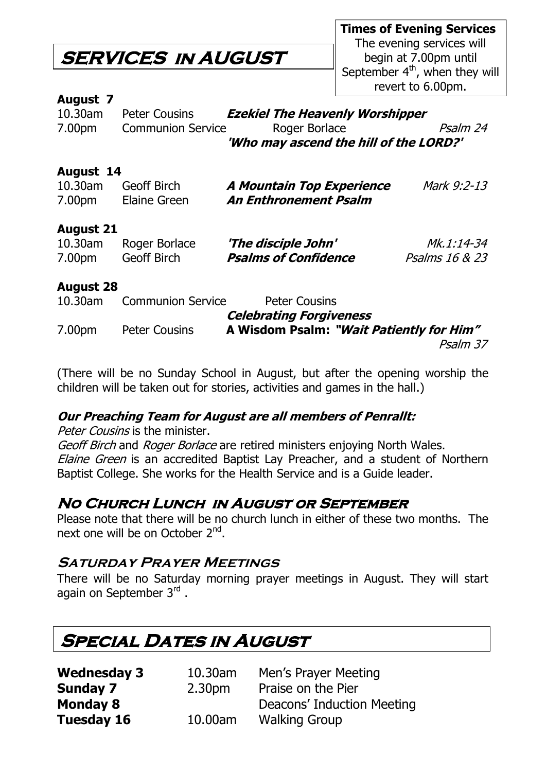### **SERVICES in AUGUST**

**Times of Evening Services** The evening services will begin at 7.00pm until September  $4<sup>th</sup>$ , when they will revert to 6.00pm.

### **August 7**

| $10.30$ am | <b>Peter Cousins</b>     | <b>Ezekiel The Heavenly Worshipper</b> |          |
|------------|--------------------------|----------------------------------------|----------|
| 7.00pm     | <b>Communion Service</b> | Roger Borlace                          | Psalm 24 |
|            |                          | 'Who may ascend the hill of the LORD?' |          |

### **August 14**

| 10.30am | <b>Geoff Birch</b> | A Mountain Top Experience | Mark 9:2-13 |
|---------|--------------------|---------------------------|-------------|
| 7.00pm  | Elaine Green       | An Enthronement Psalm     |             |

### **August 21**

| 10.30am | Roger Borlace | 'The disciple John'         | <i>Mk.1:14-34</i>         |
|---------|---------------|-----------------------------|---------------------------|
| 7.00pm  | Geoff Birch   | <b>Psalms of Confidence</b> | <i>Psalms 16 &amp; 23</i> |

### **August 28**

| 10.30am | <b>Communion Service</b> | <b>Peter Cousins</b>                     |
|---------|--------------------------|------------------------------------------|
|         |                          | <b>Celebrating Forgiveness</b>           |
| 7.00pm  | <b>Peter Cousins</b>     | A Wisdom Psalm: "Wait Patiently for Him" |
|         |                          | Psalm 37                                 |

(There will be no Sunday School in August, but after the opening worship the children will be taken out for stories, activities and games in the hall.)

### **Our Preaching Team for August are all members of Penrallt:**

Peter Cousins is the minister.

Geoff Birch and Roger Borlace are retired ministers enjoying North Wales. Elaine Green is an accredited Baptist Lay Preacher, and a student of Northern Baptist College. She works for the Health Service and is a Guide leader.

### **No Church Lunch in August or September**

Please note that there will be no church lunch in either of these two months. The next one will be on October 2<sup>nd</sup>.

### **Saturday Prayer Meetings**

There will be no Saturday morning prayer meetings in August. They will start again on September 3<sup>rd</sup> .

### **Special Dates in August**

| <b>Wednesday 3</b> | 10.30am            | Men's Prayer Meeting       |
|--------------------|--------------------|----------------------------|
| Sunday 7           | 2.30 <sub>pm</sub> | Praise on the Pier         |
| <b>Monday 8</b>    |                    | Deacons' Induction Meeting |
| <b>Tuesday 16</b>  | 10.00am            | <b>Walking Group</b>       |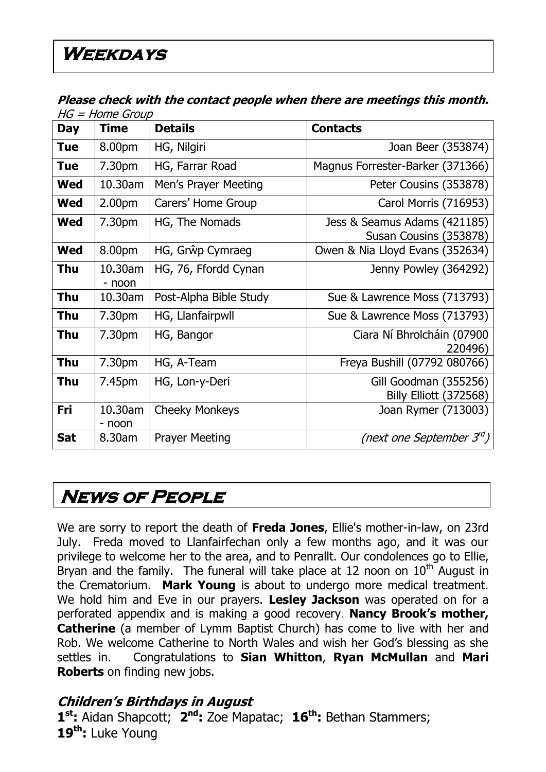#### **Please check with the contact people when there are meetings this month.**   $HC - H$ ome Group

| Day        | שטיוט – ווטווי – טוו<br><b>Time</b> | <b>Details</b>         | <b>Contacts</b>                                        |
|------------|-------------------------------------|------------------------|--------------------------------------------------------|
|            |                                     |                        |                                                        |
| <b>Tue</b> | 8.00pm                              | HG, Nilgiri            | Joan Beer (353874)                                     |
| <b>Tue</b> | 7.30pm                              | HG, Farrar Road        | Magnus Forrester-Barker (371366)                       |
| <b>Wed</b> | 10.30am                             | Men's Prayer Meeting   | Peter Cousins (353878)                                 |
| Wed        | 2.00 <sub>pm</sub>                  | Carers' Home Group     | Carol Morris (716953)                                  |
| <b>Wed</b> | 7.30pm                              | HG, The Nomads         | Jess & Seamus Adams (421185)<br>Susan Cousins (353878) |
| Wed        | 8.00pm                              | HG, Grŵp Cymraeg       | Owen & Nia Lloyd Evans (352634)                        |
| Thu        | 10.30am<br>- noon                   | HG, 76, Ffordd Cynan   | Jenny Powley (364292)                                  |
| Thu        | 10.30am                             | Post-Alpha Bible Study | Sue & Lawrence Moss (713793)                           |
| <b>Thu</b> | 7.30pm                              | HG, Llanfairpwll       | Sue & Lawrence Moss (713793)                           |
| Thu        | 7.30pm                              | HG, Bangor             | Ciara Ní Bhrolcháin (07900<br>220496)                  |
| Thu        | 7.30pm                              | HG, A-Team             | Freya Bushill (07792 080766)                           |
| <b>Thu</b> | 7.45pm                              | HG, Lon-y-Deri         | Gill Goodman (355256)<br><b>Billy Elliott (372568)</b> |
| Fri        | 10.30am<br>- noon                   | <b>Cheeky Monkeys</b>  | Joan Rymer (713003)                                    |
| <b>Sat</b> | 8.30am                              | <b>Prayer Meeting</b>  | (next one September 3 <sup>rd</sup> )                  |

### **News of People**

We are sorry to report the death of **Freda Jones**, Ellie's mother-in-law, on 23rd July. Freda moved to Llanfairfechan only a few months ago, and it was our privilege to welcome her to the area, and to Penrallt. Our condolences go to Ellie, Bryan and the family. The funeral will take place at 12 noon on  $10<sup>th</sup>$  August in the Crematorium. **Mark Young** is about to undergo more medical treatment. We hold him and Eve in our prayers. **Lesley Jackson** was operated on for a perforated appendix and is making a good recovery. **Nancy Brook's mother, Catherine** (a member of Lymm Baptist Church) has come to live with her and Rob. We welcome Catherine to North Wales and wish her God's blessing as she settles in. Congratulations to **Sian Whitton**, **Ryan McMullan** and **Mari Roberts** on finding new jobs.

### **Children's Birthdays in August**

**1 st:** Aidan Shapcott; **2 nd:** Zoe Mapatac; **16th:** Bethan Stammers; **19th:** Luke Young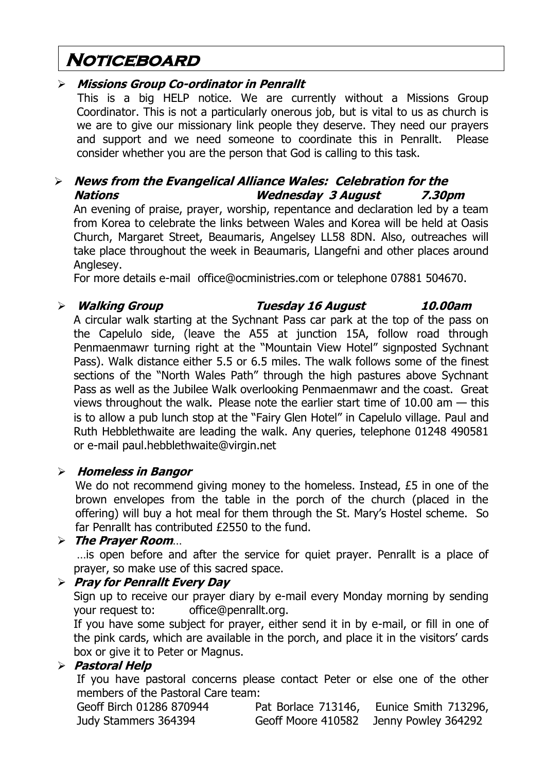### **Noticeboard**

### **Missions Group Co-ordinator in Penrallt**

This is a big HELP notice. We are currently without a Missions Group Coordinator. This is not a particularly onerous job, but is vital to us as church is we are to give our missionary link people they deserve. They need our prayers and support and we need someone to coordinate this in Penrallt. Please consider whether you are the person that God is calling to this task.

### **News from the Evangelical Alliance Wales: Celebration for the Nations Wednesday 3 August 7.30pm**

An evening of praise, prayer, worship, repentance and declaration led by a team from Korea to celebrate the links between Wales and Korea will be held at Oasis Church, Margaret Street, Beaumaris, Angelsey LL58 8DN. Also, outreaches will take place throughout the week in Beaumaris, Llangefni and other places around Anglesey.

For more details e-mail [office@ocministries.com](mailto:office@ocministries.com) or telephone 07881 504670.

 **Walking Group Tuesday 16 August 10.00am** A circular walk starting at the Sychnant Pass car park at the top of the pass on the Capelulo side, (leave the A55 at junction 15A, follow road through Penmaenmawr turning right at the "Mountain View Hotel" signposted Sychnant Pass). Walk distance either 5.5 or 6.5 miles. The walk follows some of the finest sections of the "North Wales Path" through the high pastures above Sychnant Pass as well as the Jubilee Walk overlooking Penmaenmawr and the coast. Great views throughout the walk**.** Please note the earlier start time of 10.00 am — this is to allow a pub lunch stop at the "Fairy Glen Hotel" in Capelulo village. Paul and Ruth Hebblethwaite are leading the walk. Any queries, telephone 01248 490581 or e-mail [paul.hebblethwaite@virgin.net](mailto:paul.hebblethwaite@virgin.net)

### **Homeless in Bangor**

We do not recommend giving money to the homeless. Instead, £5 in one of the brown envelopes from the table in the porch of the church (placed in the offering) will buy a hot meal for them through the St. Mary's Hostel scheme. So far Penrallt has contributed £2550 to the fund.

### **The Prayer Room**…

…is open before and after the service for quiet prayer. Penrallt is a place of prayer, so make use of this sacred space.

### **Pray for Penrallt Every Day**

Sign up to receive our prayer diary by e-mail every Monday morning by sending your request to: [office@penrallt.org.](mailto:office@penrallt.org)

If you have some subject for prayer, either send it in by e-mail, or fill in one of the pink cards, which are available in the porch, and place it in the visitors' cards box or give it to Peter or Magnus.

### **Pastoral Help**

If you have pastoral concerns please contact Peter or else one of the other members of the Pastoral Care team:

| Geoff Birch 01286 870944 | Pat Borlace 713146, | Eunice Smith 713296, |
|--------------------------|---------------------|----------------------|
| Judy Stammers 364394     | Geoff Moore 410582  | Jenny Powley 364292  |